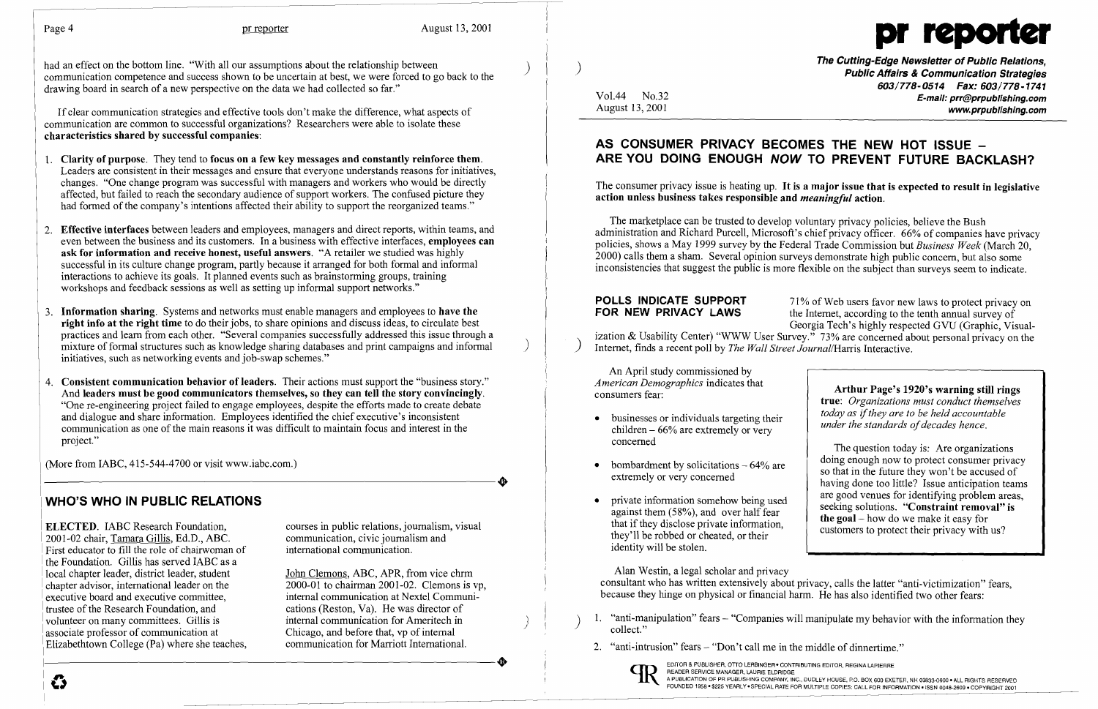

had an effect on the bottom line. "With all our assumptions about the relationship between communication competence and success shown to be uncertain at best, we were forced to go back to the drawing board in search of a new perspective on the data we had collected so far."

If clear communication strategies and effective tools don't make the difference, what aspects of communication are common to successful organizations? Researchers were able to isolate these **characteristics shared by successful companies:** 

- 1. **Clarity** of purpose. They tend to **focus on a few key messages and constantly reinforce them.**  Leaders are consistent in their messages and ensure that everyone understands reasons for initiatives, changes. "One change program was successful with managers and workers who would be directly affected, but failed to reach the secondary audience of support workers. The confused picture they had formed of the company's intentions affected their ability to support the reorganized teams."
- 2. **Effective interfaces** between leaders and employees, managers and direct reports, within teams, and even between the business and its customers. In a business with effective interfaces, **employees can ask for information and receive honest, useful answers.** "A retailer we studied was highly successful in its culture change program, partly because it arranged for both formal and informal interactions to achieve its goals. It planned events such as brainstorming groups, training workshops and feedback sessions as well as setting up informal support networks."
- 3. **Information sharing.** Systems and networks must enable managers and employees to **have the right info at the right time** to do their jobs, to share opinions and discuss ideas, to circulate best practices and learn from each other. "Several companies successfully addressed this issue through a mixture of formal structures such as knowledge sharing databases and print campaigns and informal ) initiatives, such as networking events and job-swap schemes."
- 4. **Consistent communication behavior of leaders.** Their actions must support the "business story." And **leaders must be good communicators themselves, so they can tell the story convincingly.**  "One re-engineering project failed to engage employees, despite the efforts made to create debate and dialogue and share information. Employees identified the chief executive's inconsistent communication as one of the main reasons it was difficult to maintain focus and interest in the project."

(More from IABC, 415-544-4700 or visit www.iabc.com.)

**The Cutting-Edge Newsletter of Public Relations,** ) **Public Affairs & Communication Strategies**  *603/778-0514 Fax: 603/778-1741*  Vol.44 No.32 **E-mail: prr@prpublishing.com**  www.prpublishing.com

> the Internet, according to the tenth annual survey of Georgia Tech's highly respected GVU (Graphic, Visual-

**POLLS INDICATE SUPPORT** 71% of Web users favor new laws to protect privacy on **FOR NEW PRIVACY LAWS** the Internet according to the tenth annual survey of ization & Usability Center) "WWW User Survey." 73% are concerned about personal privacy on the Internet, finds a recent poll by *The Wall Street Journal*/Harris Interactive.

## **WHO'S WHO IN PUBLIC RELATIONS**

**ELECTED.** IABC Research Foundation, courses in public relations, journalism, visual 2001-02 chair. Tamara Gillis, Ed.D., ABC. 2001-02 chair, Tamara Gillis, Ed.D., ABC.<br>
First educator to fill the role of chairwoman of the international communication. First educator to fill the role of chairwoman of the Foundation. Gillis has served IABC as a local chapter leader, district leader, student local chapter leader, district leader, student John Clemons, ABC, APR, from vice chrm<br>chapter advisor, international leader on the 2000-01 to chairman 2001-02. Clemons is executive board and executive committee, trustee of the Research Foundation, and cations (Reston, Va). He was director of volunteer on many committees. Gillis is the internal communication for Ameritech in associate professor of communication at Chicago, and before that, vp of internal Elizabethtown College (Pa) where she teaches, communication for Marriott International. Elizabethtown College (Pa) where she teaches, Elizabethtown College (Pa) where she teaches, communication for Marriott International.<br>
Elizabethtown College (Pa) where she teaches, communication for Marriott International.<br>  $\bullet$  EDITOR & PUBLISHER, OTO LERBINGER, CONT

2000-01 to chairman 2001-02. Clemons is vp,<br>internal communication at Nextel Communiinternal communication for Ameritech in<br>Chicago, and before that, vp of internal

- businesses or individuals targeting their children  $-66\%$  are extremely or very concerned
- bombardment by solicitations  $-64\%$  are extremely or very concerned
- private information somehow being used against them (58%), and over half fear that if they disclose private information, they'll be robbed or cheated, or their identity will be stolen.

**Arthur Page's 1920's warning still rings true:** *Organizations must conduct themselves today as ifthey are to be held accountable under the standards of decades hence.* 

READER SERVICE MANAGER, LAURIE ELDRIDGE READER SERVICE MANAGER, LAURILE ELDRIDGE<br>A PUBLICATION OF PR PUBLISHING COMPANY, INC., DUDLEY HOUSE, P.O. BOX 600 EXETER, NH 03833-0600 . ALL RIGHTS RESERVED

)

# **AS CONSUMER PRIVACY BECOMES THE NEW HOT ISSUE ARE YOU DOING ENOUGH NOW TO PREVENT FUTURE BACKLASH?**

The consumer privacy issue is heating up. **It is a major issue that is expected to result in legislative action unless business takes responsible and** *meaningful* **action.** 

The marketplace can be trusted to develop voluntary privacy policies, believe the Bush administration and Richard Purcell, Microsoft's chief privacy officer. 66% of companies have privacy policies, shows a May 1999 survey by the Federal Trade Commission but *Business Week* (March 20, 2000) calls them a sham. Several opinion surveys demonstrate high public concern, but also some inconsistencies that suggest the public is more flexible on the subject than surveys seem to indicate.

An April study commissioned by *American Demographics* indicates that consumers fear:

Alan Westin, a legal scholar and privacy consultant who has written extensively about privacy, calls the latter "anti-victimization" fears, because they hinge on physical or financial harm. He has also identified two other fears:

- 1. "anti-manipulation" fears "Companies will manipulate my behavior with the information they collect."
- 2. "anti-intrusion" fears "Don't call me in the middle of dinnertime."



The question today is: Are organizations doing enough now to protect consumer privacy so that in the future they won't be accused of having done too little? Issue anticipation teams are good venues for identifying problem areas, seeking solutions. **"Constraint removal" is the goal-** how do we make it easy for customers to protect their privacy with us?

I